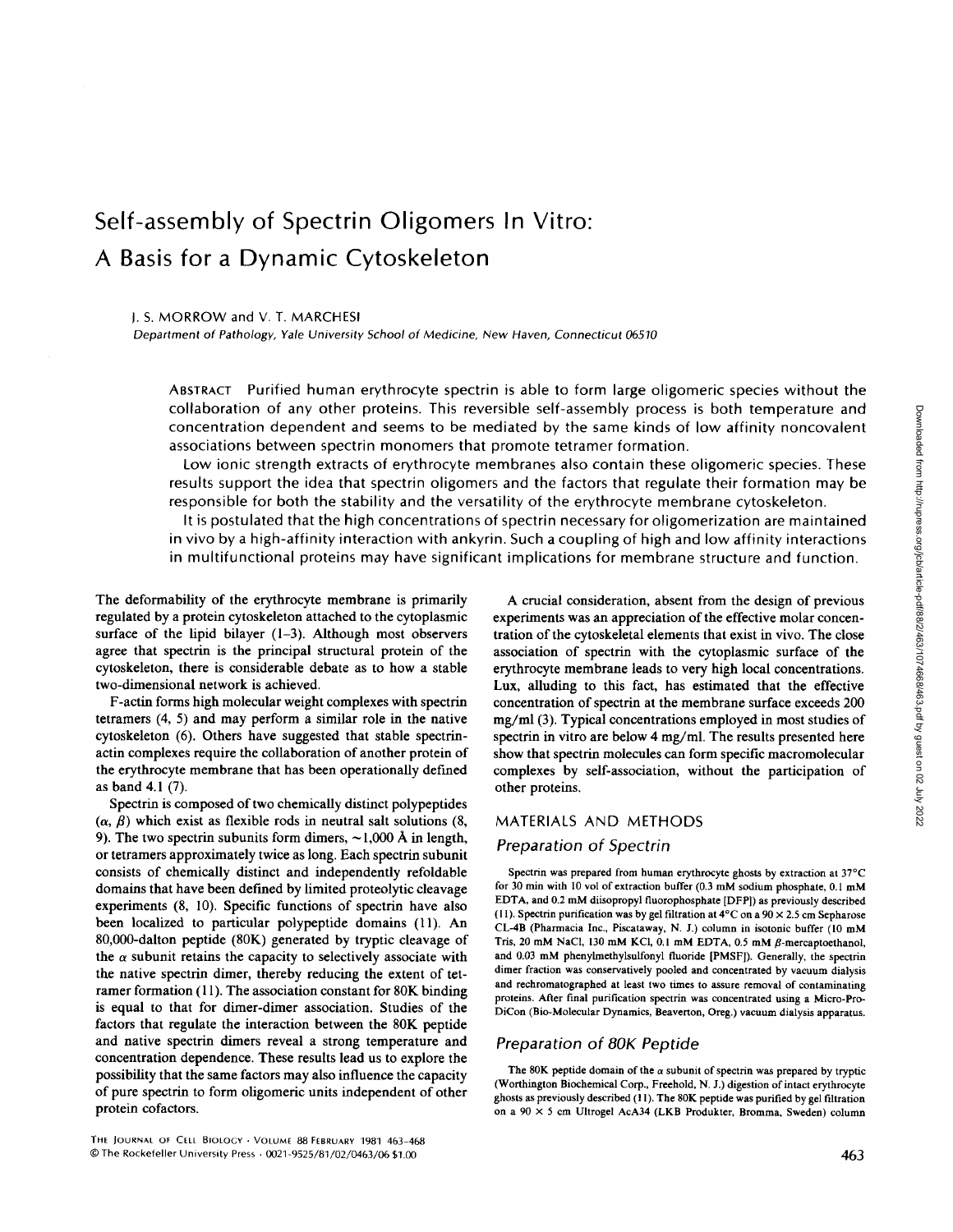# Self-assembly of Spectrin Oligomers In Vitro: A Basis for a Dynamic Cytoskeleton

#### J. S. MORROW and V. T. MARCHESI

Department of Pathology, Yale University School of Medicine, New Haven, Connecticut 06510

ABSTRACT Purified human erythrocyte spectrin is able to form large oligomeric species without the collaboration of any other proteins. This reversible self-assembly process is both temperature and concentration dependent and seems to be mediated by the same kinds of low affinity noncovalent associations between spectrin monomers that promote tetramer formation.

Low ionic strength extracts of erythrocyte membranes also contain these oligomeric species. These results support the idea that spectrin oligomers and the factors that regulate their formation may be responsible for both the stability and the versatility of the erythrocyte membrane cytoskeleton .

It is postulated that the high concentrations of spectrin necessary for oligomerization are maintained in vivo by a high-affinity interaction with ankyrin. Such a coupling of high and low affinity interactions in multifunctional proteins may have significant implications for membrane structure and function .

The deformability of the erythrocyte membrane is primarily regulated by a protein cytoskeleton attached to the cytoplasmic surface of the lipid bilayer (1-3). Although most observers agree that spectrin is the principal structural protein of the cytoskeleton, there is considerable debate as to how a stable two-dimensional network is achieved.

F-actin forms high molecular weight complexes with spectrin tetramers (4, 5) and may perform a similar role in the native cytoskeleton (6). Others have suggested that stable spectrinactin complexes require the collaboration of another protein of the erythrocyte membrane that has been operationally defined as band 4.1 (7).

Spectrin is composed of two chemically distinct polypeptides  $(\alpha, \beta)$  which exist as flexible rods in neutral salt solutions (8, 9). The two spectrin subunits form dimers,  $\sim$ 1,000 Å in length, or tetramers approximately twice as long. Each spectrin subunit consists of chemically distinct and independently refoldable domains that have been defined by limited proteolytic cleavage experiments (8, 10). Specific functions of spectrin have also been localized to particular polypeptide domains (11). An 80,000-dalton peptide (80K) generated by tryptic cleavage of the  $\alpha$  subunit retains the capacity to selectively associate with the native spectrin dimer, thereby reducing the extent of tetramer formation (11). The association constant for 80K binding is equal to that for dimer-dimer association. Studies of the factors that regulate the interaction between the 80K peptide and native spectrin dimers reveal a strong temperature and concentration dependence. These results lead us to explore the possibility that the same factors may also influence the capacity of pure spectrin to form oligomeric units independent of other protein cofactors.

THE JOURNAL OF CELL BIOLOGY . VOLUME 88 FEBRUARY 1981 463-468 ©The Rockefeller University Press - 0021-9525/81/02/0463/06 \$1 .00

A crucial consideration, absent from the design of previous experiments was an appreciation of the effective molar concentration of the cytoskeletal elements that exist in vivo. The close association of spectrin with the cytoplasmic surface of the erythrocyte membrane leads to very high local concentrations . Lux, alluding to this fact, has estimated that the effective concentration of spectrin at the membrane surface exceeds 200 mg/ml (3) . Typical concentrations employed in most studies of spectrin in vitro are below 4 mg/ml. The results presented here show that spectrin molecules can form specific macromolecular complexes by self-association, without the participation of other proteins.

## MATERIALS AND METHODS

# Preparation of Spectrin

Spectrin was prepared from human erythrocyte ghosts by extraction at 37°C for <sup>30</sup> min with <sup>10</sup> vol of extraction buffer (0.3 mM sodium phosphate, 0.1 mM EDTA, and 0.2 mM diisopropyl fluorophosphate [DFP]) as previously described (11). Spectrin purification was by gel filtration at  $4^{\circ}$ C on a  $90 \times 2.5$  cm Sepharose CL-4B (Pharmacia Inc., Piscataway, N. J.) column in isotonic buffer (l0 mM Tris, <sup>20</sup> mM NaCl, <sup>130</sup> mM KCI, 0.1 mM EDTA, 0.5 mM ß-mercaptoethanol, and 0.03 mM phenylmethylsulfonyl fluoride [PMSF]). Generally, the spectrin dimer fraction was conservatively pooled and concentrated by vacuum dialysis and rechromatographed at least two times to assure removal of contaminating proteins. After final purification spectrin was concentrated using a Micro-Pro-DiCon (Bio-Molecular Dynamics, Beaverton, Oreg.) vacuum dialysis apparatus.

# Preparation of 80K Peptide

The 80K peptide domain of the  $\alpha$  subunit of spectrin was prepared by tryptic (Worthington Biochemical Corp., Freehold, N. J.) digestion of intact erythrocyte ghosts as previously described (11). The 80K peptide was purified by gel filtration on a 90  $\times$  5 cm Ultrogel AcA34 (LKB Produkter, Bromma, Sweden) column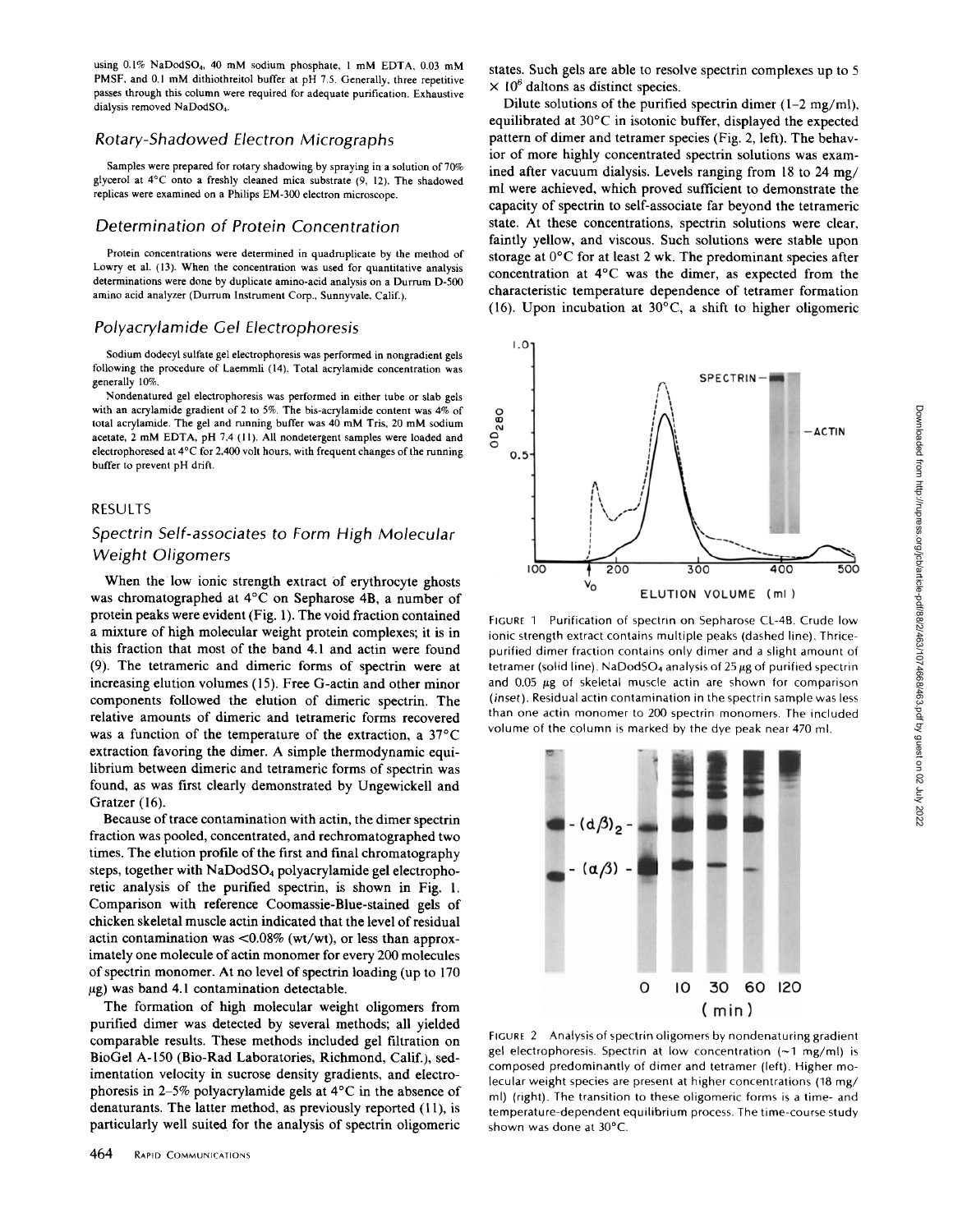using  $0.1\%$  NaDodSO<sub>4</sub>, 40 mM sodium phosphate, 1 mM EDTA, 0.03 mM PMSF, and 0.1 mM dithiothreitol buffer at pH 7.5. Generally, three repetitive passes through this column were required for adequate purification . Exhaustive dialysis removed NaDodS04

## Rotary-Shadowed Electron Micrographs

Samples were prepared for rotary shadowing by spraying in a solution of 70% glycerol at 4° C onto a freshly cleaned mica substrate (9, l2). The shadowed replicas were examined on a Philips EM-300 electron microscope .

### Determination of Protein Concentration

Protein concentrations were determined in quadruplicate by the method of Lowry et al. (13). When the concentration was used for quantitative analysis determinations were done by duplicate amino-acid analysis on a Durrum D-500 amino acid analyzer (Durrum Instrument Corp., Sunnyvale, Calif.).

#### Polyacrylamide Gel Electrophoresis

Sodium dodecyl sulfate gel electrophoresis was performed in nongradient gels following the procedure of Laemmli (14). Total acrylamide concentration was generally 10%.

Nondenatured gel electrophoresis was performed in either tube or stab gels with an acrylamide gradient of 2 to 5%. The bis-acrylamide content was  $4\%$  of total acrylamide. The gel and running buffer was 40 mM Tris, 20 mM sodium acetate, <sup>2</sup> mM EDTA, pH 7.4 (I1) . All nondetergent samples were loaded and electrophoresed at  $4^{\circ}$ C for 2,400 volt hours, with frequent changes of the running buffer to prevent pH drift.

#### RESULTS

# Spectrin Self-associates to Form High Molecular Weight Oligomers

When the low ionic strength extract of erythrocyte ghosts was chromatographed at 4°C on Sepharose 4B, a number of protein peaks were evident (Fig. 1) . The void fraction contained a mixture of high molecular weight protein complexes; it is in this fraction that most of the band 4.1 and actin were found (9) . The tetrameric and dimeric forms of spectrin were at increasing elution volumes (15) . Free G-actin and other minor components followed the elution of dimeric spectrin . The relative amounts of dimeric and tetrameric forms recovered was a function of the temperature of the extraction, a 37°C extraction favoring the dimer. A simple thermodynamic equilibrium between dimeric and tetrameric forms of spectrin was found, as was first clearly demonstrated by Ungewickell and Gratzer (16).

Because of trace contamination with actin, the dimer spectrin fraction was pooled, concentrated, and rechromatographed two times. The elution profile of the first and final chromatography steps, together with NaDodS04 polyacrylamide gel electrophoretic analysis of the purified spectrin, is shown in Fig. 1. Comparison with reference Coomassie-Blue-stained gels of chicken skeletal muscle actin indicated that the level ofresidual actin contamination was  $\langle 0.08\% \left( wt/wt \right) \rangle$ , or less than approximately one molecule of actin monomer for every 200 molecules of spectrin monomer. At no level of spectrin loading (up to <sup>170</sup>  $\mu$ g) was band 4.1 contamination detectable.

The formation of high molecular weight oligomers from purified dimer was detected by several methods; all yielded comparable results. These methods included gel filtration on BioGel A-150 (Bio-Rod Laboratories, Richmond, Calif.), sedimentation velocity in sucrose density gradients, and electrophoresis in 2-5% polyacrylamide gels at 4°C in the absence of denaturants. The latter method, as previously reported (11), is particularly well suited for the analysis of spectrin oligomeric

states. Such gels are able to resolve spectrin complexes up to 5  $\times$  10<sup>6</sup> daltons as distinct species.

Dilute solutions of the purified spectrin dimer  $(1-2 \text{ mg/ml})$ , equilibrated at 30°C in isotonic buffer, displayed the expected pattern of dimer and tetramer species (Fig. 2, left). The behavior of more highly concentrated spectrin solutions was examined after vacuum dialysis. Levels ranging from 18 to 24 mg/ ml were achieved, which proved sufficient to demonstrate the capacity of spectrin to self-associate far beyond the tetrameric state. At these concentrations, spectrin solutions were clear, faintly yellow, and viscous. Such solutions were stable upon storage at 0°C for at least 2 wk. The predominant species after concentration at 4°C was the dimer, as expected from the characteristic temperature dependence of tetramer formation (16). Upon incubation at  $30^{\circ}$ C, a shift to higher oligomeric



FIGURE <sup>1</sup> Purification of spectrin on Sepharose CL-48. Crude low ionic strength extract contains multiple peaks (dashed line). Thricepurified dimer fraction contains only dimer and a slight amount of tetramer (solid line). NaDodSO<sub>4</sub> analysis of  $25 \mu g$  of purified spectrin and  $0.05 \mu g$  of skeletal muscle actin are shown for comparison (inset). Residual actin contamination in the spectrin sample was less than one actin monomer to 200 spectrin monomers. The included volume of the column is marked by the dye peak near 470 ml



FIGURE 2 Analysis of spectrin oligomers by nondenaturing gradient gel electrophoresis. Spectrin at low concentration  $(-1 \text{ mg/ml})$  is composed predominantly of dimer and tetramer (left) . Higher molecular weight species are present at higher concentrations (18 mg/ ml) (right). The transition to these oligomeric forms is a time- and temperature-dependent equilibrium process The time-course study shown was done at 30°C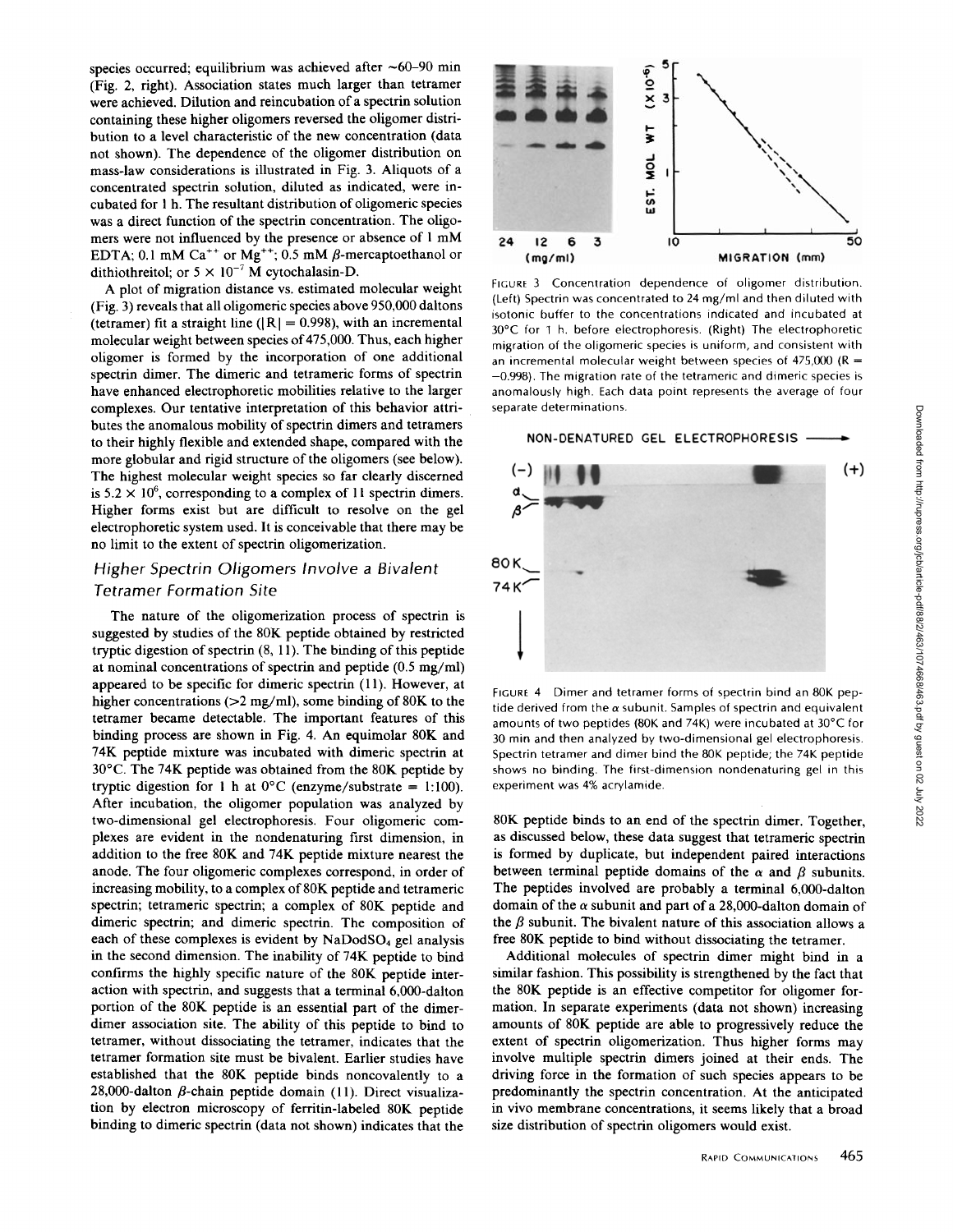species occurred; equilibrium was achieved after  $\sim$  60-90 min (Fig. 2, right). Association states much larger than tetramer were achieved. Dilution and reincubation of a spectrin solution containing these higher oligomers reversed the oligomer distribution to a level characteristic of the new concentration (data not shown). The dependence of the oligomer distribution on mass-law considerations is illustrated in Fig. 3. Aliquots of a concentrated spectrin solution, diluted as indicated, were incubated for <sup>1</sup> h. The resultant distribution of oligomeric species was a direct function of the spectrin concentration. The oligomers were not influenced by the presence or absence of <sup>1</sup> mM EDTA; 0.1 mM Ca<sup>++</sup> or Mg<sup>++</sup>; 0.5 mM  $\beta$ -mercaptoethanol or dithiothreitol; or  $5 \times 10^{-7}$  M cytochalasin-D.

A plot of migration distance vs. estimated molecular weight (Fig. 3) reveals that all oligomeric species above 950,000 daltons (tetramer) fit a straight line ( $|R| = 0.998$ ), with an incremental molecular weight between species of 475,000. Thus, each higher oligomer is formed by the incorporation of one additional spectrin dimer. The dimeric and tetrameric forms of spectrin have enhanced electrophoretic mobilities relative to the larger complexes . Our tentative interpretation of this behavior attributes the anomalous mobility of spectrin dimers and tetramers to their highly flexible and extended shape, compared with the more globular and rigid structure of the oligomers (see below) . The highest molecular weight species so far clearly discerned is  $5.2 \times 10^6$ , corresponding to a complex of 11 spectrin dimers. Higher forms exist but are difficult to resolve on the gel electrophoretic system used. It is conceivable that there may be no limit to the extent of spectrin oligomerization.

# Higher Spectrin Oligomers Involve a Bivalent Tetramer Formation Site

The nature of the oligomerization process of spectrin is suggested by studies of the 80K peptide obtained by restricted tryptic digestion of spectrin  $(8, 11)$ . The binding of this peptide at nominal concentrations of spectrin and peptide (0.5 mg/ml) appeared to be specific for dimeric spectrin (11). However, at higher concentrations (>2 mg/ml), some binding of 80K to the tetramer became detectable. The important features of this binding process are shown in Fig. 4. An equimolar 80K and 74K peptide mixture was incubated with dimeric spectrin at 30°C. The 74K peptide was obtained from the 80K peptide by tryptic digestion for 1 h at  $0^{\circ}$ C (enzyme/substrate = 1:100). After incubation, the oligomer population was analyzed by two-dimensional gel electrophoresis. Four oligomeric complexes are evident in the nondenaturing first dimension, in addition to the free 80K and 74K peptide mixture nearest the anode. The four oligomeric complexes correspond, in order of increasing mobility, to a complex of 80K peptide and tetrameric spectrin; tetrameric spectrin; a complex of 80K peptide and dimeric spectrin; and dimeric spectrin. The composition of each of these complexes is evident by  $NaDodSO<sub>4</sub>$  gel analysis in the second dimension. The inability of 74K peptide to bind confirms the highly specific nature of the 80K peptide interaction with spectrin, and suggests that a terminal 6,000-dalton portion of the 80K peptide is an essential part of the dimerdimer association site. The ability of this peptide to bind to tetramer, without dissociating the tetramer, indicates that the tetramer formation site must be bivalent. Earlier studies have established that the 80K peptide binds noncovalently to a 28,000-dalton  $\beta$ -chain peptide domain (11). Direct visualization by electron microscopy of ferritin-labeled 80K peptide binding to dimeric spectrin (data not shown) indicates that the



FIGURE <sup>3</sup> Concentration dependence of oligomer distribution (Left) Spectrin was concentrated to 24 mg/ml and then diluted with isotonic buffer to the concentrations indicated and incubated at 30°C for 1 h, before electrophoresis. (Right) The electrophoretic migration of the oligomeric species is uniform, and consistent with an incremental molecular weight between species of 475,000 ( $R =$ -0.998). The migration rate of the tetrameric and dimeric species is anomalously high . Each data point represents the average of four separate determinations.



FIGURE 4 Dimer and tetramer forms of spectrin bind an 80K peptide derived from the  $\alpha$  subunit. Samples of spectrin and equivalent amounts of two peptides (80K and 74K) were incubated at  $30^{\circ}$ C for 30 min and then analyzed by two-dimensional gel electrophoresis. Spectrin tetramer and dimer bind the 80K peptide; the 74K peptide shows no binding. The first-dimension nondenaturing gel in this experiment was 4% acrylamide .

80K peptide binds to an end of the spectrin dimer. Together, as discussed below, these data suggest that tetrameric spectrin is formed by duplicate, but independent paired interactions<br>between terminal peptide domains of the  $\alpha$  and  $\beta$  subunits. The peptides involved are probably a terminal 6,000-dalton domain of the  $\alpha$  subunit and part of a 28,000-dalton domain of the  $\beta$  subunit. The bivalent nature of this association allows a free 80K peptide to bind without dissociating the tetramer .

Additional molecules of spectrin dimer might bind in <sup>a</sup> similar fashion. This possibility is strengthened by the fact that the 80K peptide is an effective competitor for oligomer formation. In separate experiments (data not shown) increasing amounts of 80K peptide are able to progressively reduce the extent of spectrin oligomerization. Thus higher forms may involve multiple spectrin dimers joined at their ends. The driving force in the formation of such species appears to be predominantly the spectrin concentration . At the anticipated in vivo membrane concentrations, it seems likely that a broad size distribution of spectrin oligomers would exist.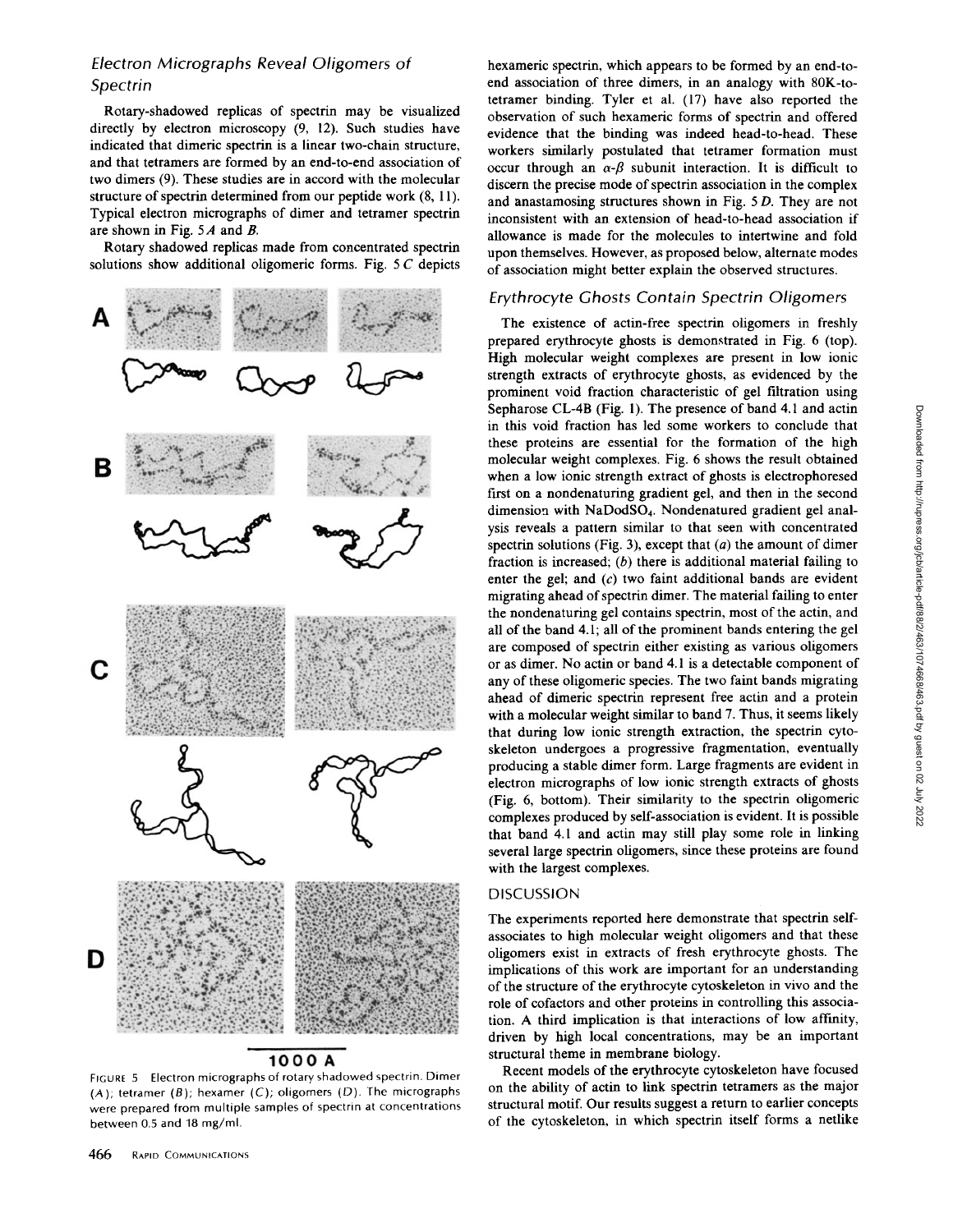# Electron Micrographs Reveal Oligomers of Spectrin

Rotary-shadowed replicas of spectrin may be visualized directly by electron microscopy (9, 12). Such studies have indicated that dimeric spectrin is a linear two-chain structure, and that tetramers are formed by an end-to-end association of two dimers (9). These studies are in accord with the molecular structure of spectrin determined from our peptide work (8, 11). Typical electron micrographs of dimer and tetramer spectrin are shown in Fig. <sup>5</sup> A and B.

Rotary shadowed replicas made from concentrated spectrin solutions show additional oligomeric forms. Fig. <sup>5</sup> C depicts



# 1000A

FIGURE 5 Electron micrographs of rotary shadowed spectrin. Dimer  $(A)$ ; tetramer  $(B)$ ; hexamer  $(C)$ ; oligomers  $(D)$ . The micrographs were prepared from multiple samples of spectrin at concentrations between 0.5 and 18 mg/ml.

hexameric spectrin, which appears to be formed by an end-toend association of three dimers, in an analogy with 80K-totetramer binding. Tyler et al. (17) have also reported the observation of such hexameric forms of spectrin and offered evidence that the binding was indeed head-to-head. These workers similarly postulated that tetramer formation must occur through an  $\alpha$ - $\beta$  subunit interaction. It is difficult to discern the precise mode of spectrin association in the complex and anastamosing structures shown in Fig. <sup>5</sup> D. They are not inconsistent with an extension of head-to-head association if allowance is made for the molecules to intertwine and fold upon themselves . However, as proposed below, alternate modes of association might better explain the observed structures.

## Erythrocyte Ghosts Contain Spectrin Oligomers

The existence of actin-free spectrin oligomers in freshly prepared erythrocyte ghosts is demonstrated in Fig. 6 (top). High molecular weight complexes are present in low ionic strength extracts of erythrocyte ghosts, as evidenced by the prominent void fraction characteristic of gel filtration using Sepharose CL-4B (Fig. 1). The presence of band 4.1 and actin in this void fraction has led some workers to conclude that these proteins are essential for the formation of the high molecular weight complexes. Fig. 6 shows the result obtained when a low ionic strength extract of ghosts is electrophoresed first on a nondenaturing gradient gel, and then in the second dimension with NaDodSO<sub>4</sub>. Nondenatured gradient gel analysis reveals a pattern similar to that seen with concentrated spectrin solutions (Fig. 3), except that  $(a)$  the amount of dimer fraction is increased;  $(b)$  there is additional material failing to enter the gel; and  $(c)$  two faint additional bands are evident migrating ahead of spectrin dimer. The material failing to enter the nondenaturing gel contains spectrin, most of the actin, and all of the band 4.1; all of the prominent bands entering the gel are composed of spectrin either existing as various oligomers or as dimer. No actin or band 4.1 is a detectable component of any of these oligomeric species. The two faint bands migrating ahead of dimeric spectrin represent free actin and a protein with a molecular weight similar to band 7. Thus, it seems likely that during low ionic strength extraction, the spectrin cytoskeleton undergoes a progressive fragmentation, eventually producing a stable dimer form. Large fragments are evident in electron micrographs of low ionic strength extracts of ghosts (Fig. 6, bottom). Their similarity to the spectrin oligomeric complexes produced by self-association is evident. It is possible that band 4.1 and actin may still play some role in linking several large spectrin oligomers, since these proteins are found with the largest complexes.

## **DISCUSSION**

The experiments reported here demonstrate that spectrin selfassociates to high molecular weight oligomers and that these oligomers exist in extracts of fresh erythrocyte ghosts . The implications of this work are important for an understanding of the structure of the erythrocyte cytoskeleton in vivo and the role of cofactors and other proteins in controlling this association. A third implication is that interactions of low affinity, driven by high local concentrations, may be an important structural theme in membrane biology.

Recent models of the erythrocyte cytoskeleton have focused on the ability of actin to link spectrin tetramers as the major structural motif. Our results suggest a return to earlier concepts of the cytoskeleton, in which spectrin itself forms a netlike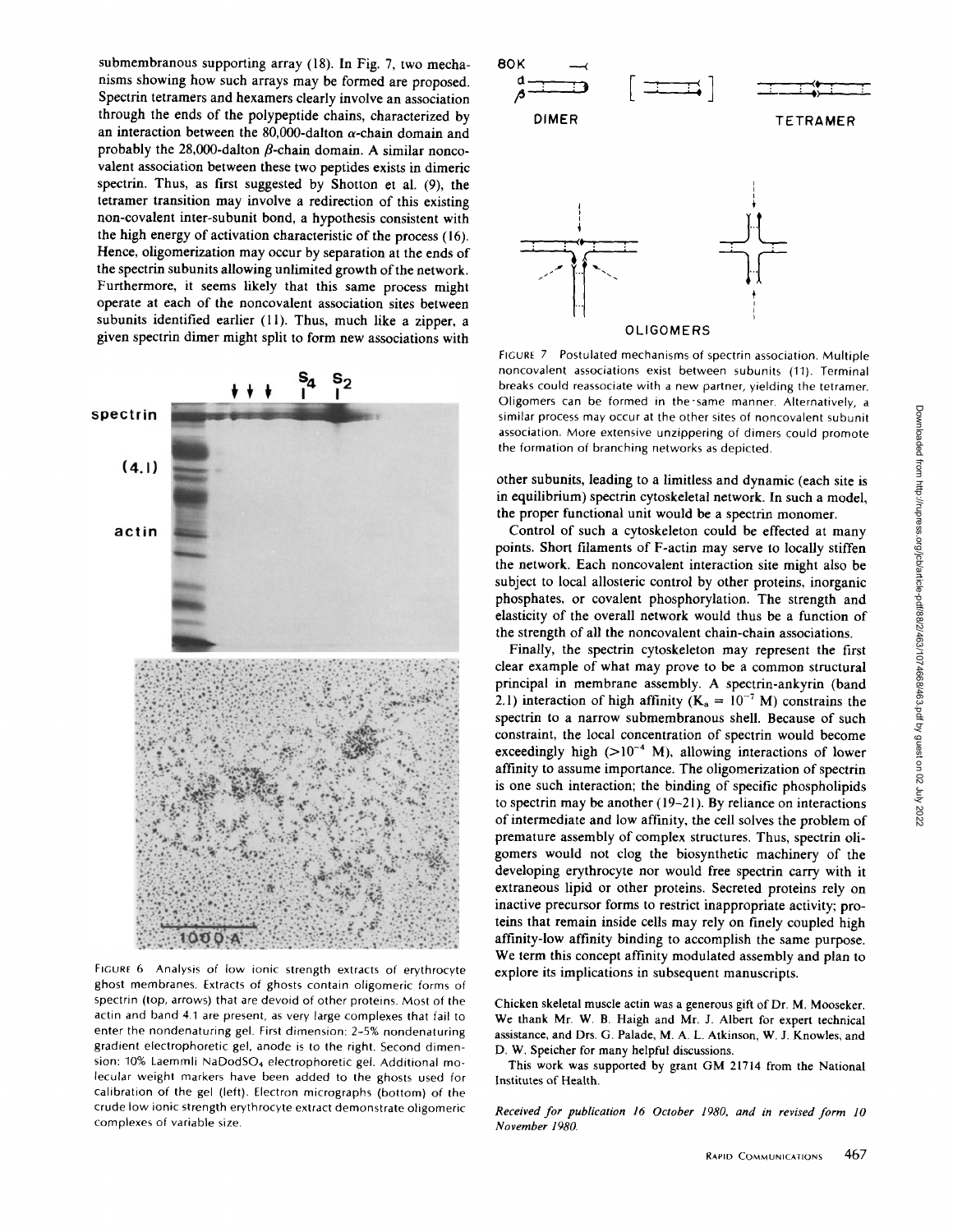submembranous supporting array (18). In Fig. 7, two mechanisms showing how such arrays may be formed are proposed. Spectrin tetramers and hexamers clearly involve an association through the ends of the polypeptide chains, characterized by an interaction between the 80,000-dalton  $\alpha$ -chain domain and probably the 28,000-dalton  $\beta$ -chain domain. A similar noncovalent association between these two peptides exists in dimeric spectrin. Thus, as first suggested by Shotton et al. (9), the tetramer transition may involve a redirection of this existing non-covalent inter-subunit bond, a hypothesis consistent with the high energy of activation characteristic of the process (16) . Hence, oligomerization may occur by separation at the ends of the spectrin subunits allowing unlimited growth of the network. Furthermore, it seems likely that this same process might operate at each of the noncovalent association sites between subunits identified earlier (11). Thus, much like a zipper, a given spectrin dimer might split to form new associations with



FIGURE 6 Analysis of low ionic strength extracts of erythrocyte ghost membranes. Extracts of ghosts contain oligomeric forms of spectrin (top, arrows) that are devoid of other proteins . Most of the actin and band 4.1 are present, as very large complexes that fail to enter the nondenaturing gel. First dimension: 2-5% nondenaturing gradient electrophoretic gel, anode is to the right. Second dimension: 10% Laemmli NaDodSO<sub>4</sub> electrophoretic gel. Additional molecular weight markers have been added to the ghosts used for calibration of the gel (left) . Electron micrographs (bottom) of the crude low ionic strength erythrocyte extract demonstrate oligomeric complexes of variable size.

![](_page_4_Figure_3.jpeg)

FIGURE 7 Postulated mechanisms of spectrin association. Multiple noncovalent associations exist between subunits (11) . Terminal breaks could reassociate with a new partner, yielding the tetramer. Oligomers can be formed in the same manner. Alternatively, a similar process may occur at the other sites of noncovalent subunit association. More extensive unzippering of dimers could promote the formation of branching networks as depicted.

other subunits, leading to a limitless and dynamic (each site is in equilibrium) spectrin cytoskeletal network. In such a model, the proper functional unit would be a spectrin monomer.

Control of such a cytoskeleton could be effected at many points. Short filaments of F-actin may serve to locally stiffen the network. Each noncovalent interaction site might also be subject to local allosteric control by other proteins, inorganic phosphates, or covalent phosphorylation. The strength and elasticity of the overall network would thus be a function of the strength of all the noncovalent chain-chain associations.

Finally, the spectrin cytoskeleton may represent the first clear example of what may prove to be a common structural principal in membrane assembly. A spectrin-ankyrin (band 2.1) interaction of high affinity ( $K_a = 10^{-7}$  M) constrains the spectrin to a narrow submembranous shell. Because of such constraint, the local concentration of spectrin would become exceedingly high  $(>10^{-4}$  M), allowing interactions of lower affinity to assume importance. The oligomerization of spectrin is one such interaction; the binding of specific phospholipids to spectrin may be another (19-21). By reliance on interactions of intermediate and low affinity, the cell solves the problem of premature assembly of complex structures. Thus, spectrin oligomers would not clog the biosynthetic machinery of the developing erythrocyte nor would free spectrin carry with it extraneous lipid or other proteins . Secreted proteins rely on inactive precursor forms to restrict inappropriate activity; proteins that remain inside cells may rely on finely coupled high affinity-low affinity binding to accomplish the same purpose. We term this concept affinity modulated assembly and plan to explore its implications in subsequent manuscripts.

Chicken skeletal muscle actin was <sup>a</sup> generous gift of Dr. M. Mooseker We thank Mr. W. B. Haigh and Mr. J. Albert for expert technical assistance, and Drs. G. Palade, M. A. L. Atkinson, W J. Knowles, and D. W. Speicher for many helpful discussions.

This work was supported by grant GM <sup>21714</sup> from the National Institutes of Health.

Received for publication 16 October 1980, and in revised form 10 November 1980.